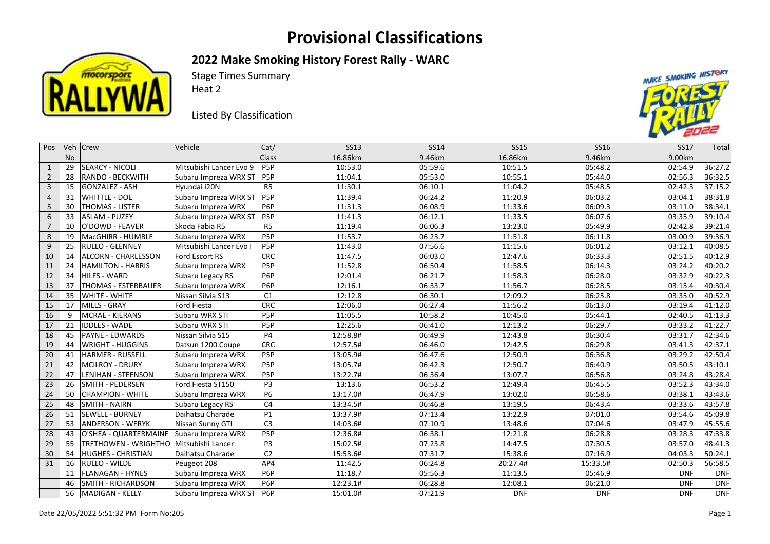## **Provisional Classifications**



**2022 Make Smoking History Forest Rally - WARC** 

Stage Times Summary

Heat 2

Listed By Classification



| Pos            |    | Veh   Crew                | Vehicle                 | Cat/             | <b>SS13</b> | <b>SS14</b> | <b>SS15</b> | <b>SS16</b> | <b>SS17</b> | Total      |
|----------------|----|---------------------------|-------------------------|------------------|-------------|-------------|-------------|-------------|-------------|------------|
|                | No |                           |                         | Class            | 16.86km     | 9.46km      | 16.86km     | 9.46km      | 9.00km      |            |
| $\mathbf{1}$   | 29 | <b>SEARCY - NICOLI</b>    | Mitsubishi Lancer Evo 9 | P <sub>5</sub> P | 10:53.0     | 05:59.6     | 10:51.5     | 05:48.2     | 02:54.9     | 36:27.2    |
| $2^{\circ}$    | 28 | <b>RANDO - BECKWITH</b>   | Subaru Impreza WRX ST   | P <sub>5</sub> P | 11:04.1     | 05:53.0     | 10:55.1     | 05:44.0     | 02:56.3     | 36:32.5    |
| $\mathbf{3}$   | 15 | GONZALEZ - ASH            | Hyundai i20N            | R <sub>5</sub>   | 11:30.1     | 06:10.1     | 11:04.2     | 05:48.5     | 02:42.3     | 37:15.2    |
| $\overline{4}$ | 31 | <b>WHITTLE - DOE</b>      | Subaru Impreza WRX ST   | P <sub>5</sub> P | 11:39.4     | 06:24.2     | 11:20.9     | 06:03.2     | 03:04.1     | 38:31.8    |
| 5 <sup>1</sup> | 30 | THOMAS - LISTER           | Subaru Impreza WRX      | P <sub>6</sub> P | 11:31.3     | 06:08.9     | 11:33.6     | 06:09.3     | 03:11.0     | 38:34.1    |
| 6              | 33 | <b>ASLAM - PUZEY</b>      | Subaru Impreza WRX ST   | P <sub>5</sub> P | 11:41.3     | 06:12.1     | 11:33.5     | 06:07.6     | 03:35.9     | 39:10.4    |
| $\overline{7}$ | 10 | O'DOWD - FEAVER           | Skoda Fabia R5          | R <sub>5</sub>   | 11:19.4     | 06:06.3     | 13:23.0     | 05:49.9     | 02:42.8     | 39:21.4    |
| 8              | 19 | MacGHIRR - HUMBLE         | Subaru Impreza WRX      | P5P              | 11:53.7     | 06:23.7     | 11:51.8     | 06:11.8     | 03:00.9     | 39:36.9    |
| 9              | 25 | <b>RULLO - GLENNEY</b>    | Mitsubishi Lancer Evo I | P5P              | 11:43.0     | 07:56.6     | 11:15.6     | 06:01.2     | 03:12.1     | 40:08.5    |
| 10             | 14 | ALCORN - CHARLESSON       | Ford Escort RS          | <b>CRC</b>       | 11:47.5     | 06:03.0     | 12:47.6     | 06:33.3     | 02:51.5     | 40:12.9    |
| 11             | 24 | <b>HAMILTON - HARRIS</b>  | Subaru Impreza WRX      | P <sub>5</sub> P | 11:52.8     | 06:50.4     | 11:58.5     | 06:14.3     | 03:24.2     | 40:20.2    |
| 12             | 34 | HILES - WARD              | Subaru Legacy RS        | P <sub>6</sub> P | 12:01.4     | 06:21.7     | 11:58.3     | 06:28.0     | 03:32.9     | 40:22.3    |
| 13             | 37 | THOMAS - ESTERBAUER       | Subaru Impreza WRX      | P6P              | 12:16.1     | 06:33.7     | 11:56.7     | 06:28.5     | 03:15.4     | 40:30.4    |
| 14             | 35 | WHITE - WHITE             | Nissan Silvia S13       | C1               | 12:12.8     | 06:30.1     | 12:09.2     | 06:25.8     | 03:35.0     | 40:52.9    |
| 15             | 17 | MILLS - GRAY              | <b>Ford Fiesta</b>      | <b>CRC</b>       | 12:06.0     | 06:27.4     | 11:56.2     | 06:13.0     | 03:19.4     | 41:12.0    |
| 16             | 9  | MCRAE - KIERANS           | Subaru WRX STI          | P <sub>5</sub> P | 11:05.5     | 10:58.2     | 10:45.0     | 05:44.1     | 02:40.5     | 41:13.3    |
| 17             | 21 | <b>IDDLES - WADE</b>      | Subaru WRX STI          | P <sub>5</sub> P | 12:25.6     | 06:41.0     | 12:13.2     | 06:29.7     | 03:33.2     | 41:22.7    |
| 18             | 45 | <b>PAYNE - EDWARDS</b>    | Nissan Silvia S15       | <b>P4</b>        | 12:58.8#    | 06:49.9     | 12:43.8     | 06:30.4     | 03:31.7     | 42:34.6    |
| 19             | 44 | <b>WRIGHT - HUGGINS</b>   | Datsun 1200 Coupe       | <b>CRC</b>       | 12:57.5#    | 06:46.0     | 12:42.5     | 06:29.8     | 03:41.3     | 42:37.1    |
| 20             | 41 | HARMER - RUSSELL          | Subaru Impreza WRX      | P5P              | 13:05.9#    | 06:47.6     | 12:50.9     | 06:36.8     | 03:29.2     | 42:50.4    |
| 21             | 42 | MCILROY - DRURY           | Subaru Impreza WRX      | P <sub>5</sub> P | 13:05.7#    | 06:42.3     | 12:50.7     | 06:40.9     | 03:50.5     | 43:10.1    |
| 22             | 47 | LENIHAN - STEENSON        | Subaru Impreza WRX      | P <sub>5</sub> P | 13:22.7#    | 06:36.4     | 13:07.7     | 06:56.8     | 03:24.8     | 43:28.4    |
| 23             | 26 | SMITH - PEDERSEN          | Ford Fiesta ST150       | P <sub>3</sub>   | 13:13.6     | 06:53.2     | 12:49.4     | 06:45.5     | 03:52.3     | 43:34.0    |
| 24             | 50 | <b>CHAMPION - WHITE</b>   | Subaru Impreza WRX      | <b>P6</b>        | 13:17.0#    | 06:47.9     | 13:02.0     | 06:58.6     | 03:38.1     | 43:43.6    |
| 25             | 48 | <b>SMITH - NAIRN</b>      | Subaru Legacy RS        | C <sub>4</sub>   | 13:34.5#    | 06:46.8     | 13:19.5     | 06:43.4     | 03:33.6     | 43:57.8    |
| 26             | 51 | <b>SEWELL - BURNEY</b>    | Daihatsu Charade        | P1               | 13:37.9#    | 07:13.4     | 13:22.9     | 07:01.0     | 03:54.6     | 45:09.8    |
| 27             | 53 | <b>ANDERSON - WERYK</b>   | Nissan Sunny GTI        | C <sub>3</sub>   | 14:03.6#    | 07:10.9     | 13:48.6     | 07:04.6     | 03:47.9     | 45:55.6    |
| 28             | 43 | O'SHEA - QUARTERMAINE     | Subaru Impreza WRX      | P <sub>5</sub> P | 12:36.8#    | 06:38.1     | 12:21.8     | 06:28.8     | 03:28.3     | 47:33.8    |
| 29             | 55 | TRETHOWEN - WRIGHTHO      | Mitsubishi Lancer       | P <sub>3</sub>   | 15:02.5#    | 07:23.8     | 14:47.5     | 07:30.5     | 03:57.0     | 48:41.3    |
| 30             | 54 | <b>HUGHES - CHRISTIAN</b> | Daihatsu Charade        | C <sub>2</sub>   | 15:53.6#    | 07:31.7     | 15:38.6     | 07:16.9     | 04:03.3     | 50:24.1    |
| 31             | 16 | RULLO - WILDE             | Peugeot 208             | AP4              | 11:42.5     | 06:24.8     | 20:27.4#    | 15:33.5#    | 02:50.3     | 56:58.5    |
|                | 11 | <b>FLANAGAN - HYNES</b>   | Subaru Impreza WRX      | P6P              | 11:18.7     | 05:56.3     | 11:13.5     | 05:46.9     | <b>DNF</b>  | <b>DNF</b> |
|                | 46 | SMITH - RICHARDSON        | Subaru Impreza WRX      | P <sub>6</sub> P | 12:23.1#    | 06:28.8     | 12:08.1     | 06:21.0     | <b>DNF</b>  | <b>DNF</b> |
|                | 56 | MADIGAN - KELLY           | Subaru Impreza WRX ST   | P6P              | 15:01.0#    | 07:21.9     | <b>DNF</b>  | <b>DNF</b>  | <b>DNF</b>  | <b>DNF</b> |
|                |    |                           |                         |                  |             |             |             |             |             |            |